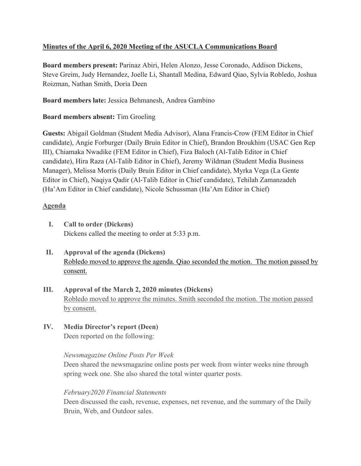## **Minutes of the April 6, 2020 Meeting of the ASUCLA Communications Board**

**Board members present:** Parinaz Abiri, Helen Alonzo, Jesse Coronado, Addison Dickens, Steve Greim, Judy Hernandez, Joelle Li, Shantall Medina, Edward Qiao, Sylvia Robledo, Joshua Roizman, Nathan Smith, Doria Deen

**Board members late:** Jessica Behmanesh, Andrea Gambino

# **Board members absent:** Tim Groeling

**Guests:** Abigail Goldman (Student Media Advisor), Alana Francis-Crow (FEM Editor in Chief candidate), Angie Forburger (Daily Bruin Editor in Chief), Brandon Broukhim (USAC Gen Rep III), Chiamaka Nwadike (FEM Editor in Chief), Fiza Baloch (Al-Talib Editor in Chief candidate), Hira Raza (Al-Talib Editor in Chief), Jeremy Wildman (Student Media Business Manager), Melissa Morris (Daily Bruin Editor in Chief candidate), Myrka Vega (La Gente Editor in Chief), Naqiya Qadir (Al-Talib Editor in Chief candidate), Tehilah Zamanzadeh (Ha'Am Editor in Chief candidate), Nicole Schussman (Ha'Am Editor in Chief)

# **Agenda**

- **I. Call to order (Dickens)** Dickens called the meeting to order at 5:33 p.m.
- **II. Approval of the agenda (Dickens)** Robledo moved to approve the agenda. Qiao seconded the motion. The motion passed by consent.
- **III. Approval of the March 2, 2020 minutes (Dickens)** Robledo moved to approve the minutes. Smith seconded the motion. The motion passed by consent.
- **IV. Media Director's report (Deen)** Deen reported on the following:

## *Newsmagazine Online Posts Per Week*

Deen shared the newsmagazine online posts per week from winter weeks nine through spring week one. She also shared the total winter quarter posts.

## *February2020 Financial Statements*

Deen discussed the cash, revenue, expenses, net revenue, and the summary of the Daily Bruin, Web, and Outdoor sales.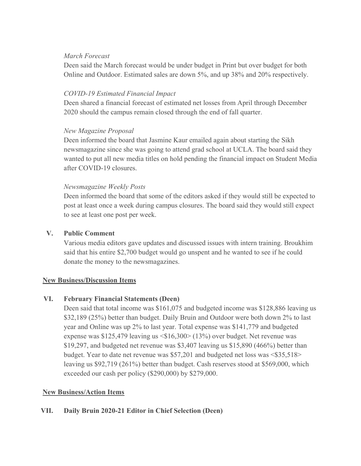### *March Forecast*

Deen said the March forecast would be under budget in Print but over budget for both Online and Outdoor. Estimated sales are down 5%, and up 38% and 20% respectively.

### *COVID-19 Estimated Financial Impact*

Deen shared a financial forecast of estimated net losses from April through December 2020 should the campus remain closed through the end of fall quarter.

## *New Magazine Proposal*

Deen informed the board that Jasmine Kaur emailed again about starting the Sikh newsmagazine since she was going to attend grad school at UCLA. The board said they wanted to put all new media titles on hold pending the financial impact on Student Media after COVID-19 closures.

## *Newsmagazine Weekly Posts*

Deen informed the board that some of the editors asked if they would still be expected to post at least once a week during campus closures. The board said they would still expect to see at least one post per week.

### **V. Public Comment**

Various media editors gave updates and discussed issues with intern training. Broukhim said that his entire \$2,700 budget would go unspent and he wanted to see if he could donate the money to the newsmagazines.

#### **New Business/Discussion Items**

## **VI. February Financial Statements (Deen)**

Deen said that total income was \$161,075 and budgeted income was \$128,886 leaving us \$32,189 (25%) better than budget. Daily Bruin and Outdoor were both down 2% to last year and Online was up 2% to last year. Total expense was \$141,779 and budgeted expense was \$125,479 leaving us <\$16,300> (13%) over budget. Net revenue was \$19,297, and budgeted net revenue was \$3,407 leaving us \$15,890 (466%) better than budget. Year to date net revenue was \$57,201 and budgeted net loss was <\$35,518> leaving us \$92,719 (261%) better than budget. Cash reserves stood at \$569,000, which exceeded our cash per policy (\$290,000) by \$279,000.

## **New Business/Action Items**

## **VII. Daily Bruin 2020-21 Editor in Chief Selection (Deen)**